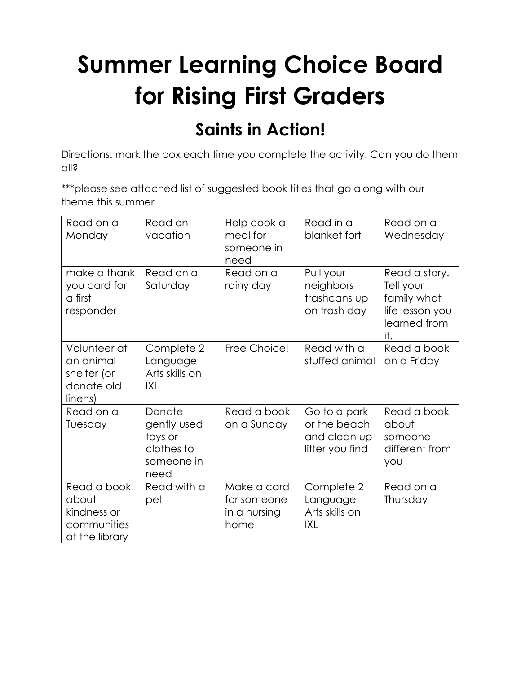## **Summer Learning Choice Board for Rising First Graders**

## **Saints in Action!**

Directions: mark the box each time you complete the activity. Can you do them all?

\*\*\*please see attached list of suggested book titles that go along with our theme this summer

| Read on a<br>Monday                                                  | Read on<br>vacation                                                  | Help cook a<br>meal for<br>someone in<br>need      | Read in a<br>blanket fort                                       | Read on a<br>Wednesday                                                              |
|----------------------------------------------------------------------|----------------------------------------------------------------------|----------------------------------------------------|-----------------------------------------------------------------|-------------------------------------------------------------------------------------|
| make a thank<br>you card for<br>a first<br>responder                 | Read on a<br>Saturday                                                | Read on a<br>rainy day                             | Pull your<br>neighbors<br>trashcans up<br>on trash day          | Read a story.<br>Tell your<br>family what<br>life lesson you<br>learned from<br>it. |
| Volunteer at<br>an animal<br>shelter (or<br>donate old<br>linens)    | Complete 2<br>Language<br>Arts skills on<br>IXL                      | Free Choice!                                       | Read with a<br>stuffed animal                                   | Read a book<br>on a Friday                                                          |
| Read on a<br>Tuesday                                                 | Donate<br>gently used<br>toys or<br>clothes to<br>someone in<br>need | Read a book<br>on a Sunday                         | Go to a park<br>or the beach<br>and clean up<br>litter you find | Read a book<br>about<br>someone<br>different from<br><b>YOU</b>                     |
| Read a book<br>about<br>kindness or<br>communities<br>at the library | Read with a<br>pet                                                   | Make a card<br>for someone<br>in a nursing<br>home | Complete 2<br>Language<br>Arts skills on<br>IXL                 | Read on a<br>Thursday                                                               |